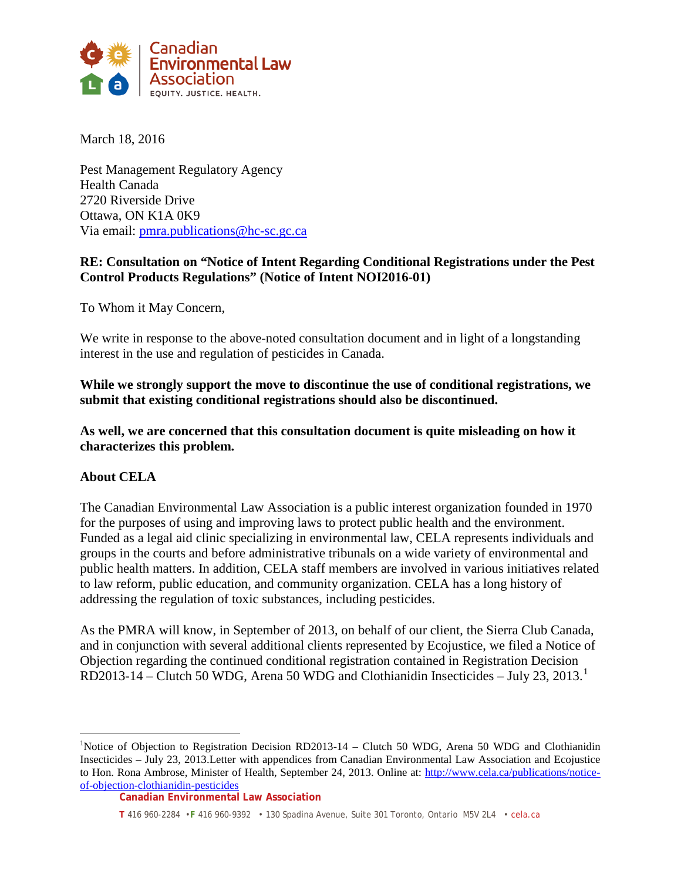

March 18, 2016

Pest Management Regulatory Agency Health Canada 2720 Riverside Drive Ottawa, ON K1A 0K9 Via email: [pmra.publications@hc-sc.gc.ca](mailto:pmra.publications@hc-sc.gc.ca)

## **RE: Consultation on "Notice of Intent Regarding Conditional Registrations under the Pest Control Products Regulations" (Notice of Intent NOI2016-01)**

To Whom it May Concern,

We write in response to the above-noted consultation document and in light of a longstanding interest in the use and regulation of pesticides in Canada.

**While we strongly support the move to discontinue the use of conditional registrations, we submit that existing conditional registrations should also be discontinued.** 

**As well, we are concerned that this consultation document is quite misleading on how it characterizes this problem.**

## **About CELA**

The Canadian Environmental Law Association is a public interest organization founded in 1970 for the purposes of using and improving laws to protect public health and the environment. Funded as a legal aid clinic specializing in environmental law, CELA represents individuals and groups in the courts and before administrative tribunals on a wide variety of environmental and public health matters. In addition, CELA staff members are involved in various initiatives related to law reform, public education, and community organization. CELA has a long history of addressing the regulation of toxic substances, including pesticides.

As the PMRA will know, in September of 2013, on behalf of our client, the Sierra Club Canada, and in conjunction with several additional clients represented by Ecojustice, we filed a Notice of Objection regarding the continued conditional registration contained in Registration Decision RD2013-14 – Clutch 50 WDG, Arena 50 WDG and Clothianidin Insecticides – July 23, 2013. [1](#page-0-0)

<span id="page-0-0"></span> $\frac{1}{1}$ <sup>1</sup>Notice of Objection to Registration Decision RD2013-14 – Clutch 50 WDG, Arena 50 WDG and Clothianidin Insecticides – July 23, 2013.Letter with appendices from Canadian Environmental Law Association and Ecojustice to Hon. Rona Ambrose, Minister of Health, September 24, 2013. Online at: [http://www.cela.ca/publications/notice](http://www.cela.ca/publications/notice-of-objection-clothianidin-pesticides)[of-objection-clothianidin-pesticides](http://www.cela.ca/publications/notice-of-objection-clothianidin-pesticides)

**Canadian Environmental Law Association**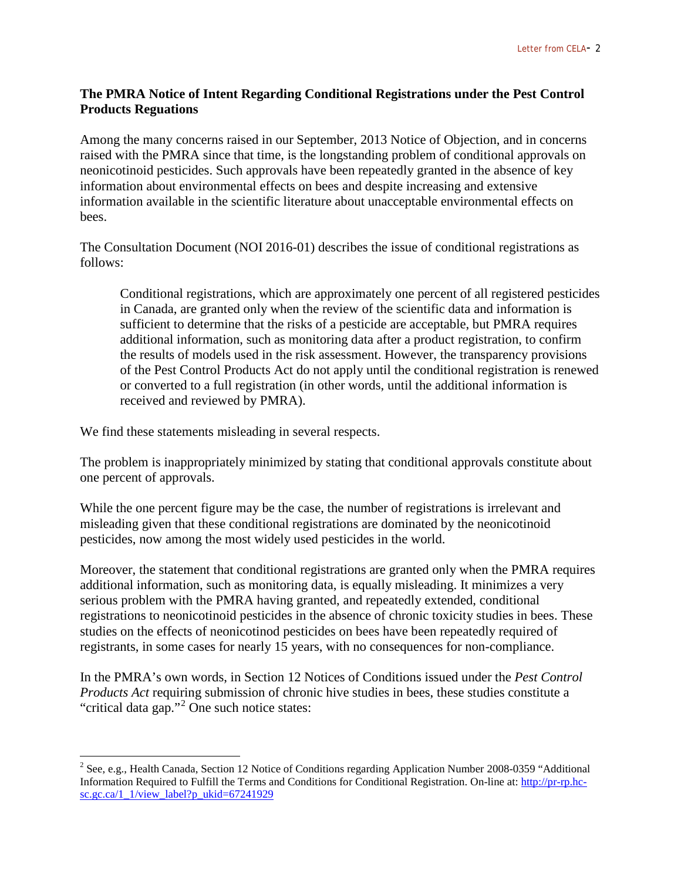## **The PMRA Notice of Intent Regarding Conditional Registrations under the Pest Control Products Reguations**

Among the many concerns raised in our September, 2013 Notice of Objection, and in concerns raised with the PMRA since that time, is the longstanding problem of conditional approvals on neonicotinoid pesticides. Such approvals have been repeatedly granted in the absence of key information about environmental effects on bees and despite increasing and extensive information available in the scientific literature about unacceptable environmental effects on bees.

The Consultation Document (NOI 2016-01) describes the issue of conditional registrations as follows:

Conditional registrations, which are approximately one percent of all registered pesticides in Canada, are granted only when the review of the scientific data and information is sufficient to determine that the risks of a pesticide are acceptable, but PMRA requires additional information, such as monitoring data after a product registration, to confirm the results of models used in the risk assessment. However, the transparency provisions of the Pest Control Products Act do not apply until the conditional registration is renewed or converted to a full registration (in other words, until the additional information is received and reviewed by PMRA).

We find these statements misleading in several respects.

The problem is inappropriately minimized by stating that conditional approvals constitute about one percent of approvals.

While the one percent figure may be the case, the number of registrations is irrelevant and misleading given that these conditional registrations are dominated by the neonicotinoid pesticides, now among the most widely used pesticides in the world.

Moreover, the statement that conditional registrations are granted only when the PMRA requires additional information, such as monitoring data, is equally misleading. It minimizes a very serious problem with the PMRA having granted, and repeatedly extended, conditional registrations to neonicotinoid pesticides in the absence of chronic toxicity studies in bees. These studies on the effects of neonicotinod pesticides on bees have been repeatedly required of registrants, in some cases for nearly 15 years, with no consequences for non-compliance.

In the PMRA's own words, in Section 12 Notices of Conditions issued under the *Pest Control Products Act* requiring submission of chronic hive studies in bees, these studies constitute a "critical data gap."[2](#page-1-0) One such notice states:

<span id="page-1-0"></span><sup>&</sup>lt;sup>2</sup> See, e.g., Health Canada, Section 12 Notice of Conditions regarding Application Number 2008-0359 "Additional Information Required to Fulfill the Terms and Conditions for Conditional Registration. On-line at: [http://pr-rp.hc](http://pr-rp.hc-sc.gc.ca/1_1/view_label?p_ukid=67241929)[sc.gc.ca/1\\_1/view\\_label?p\\_ukid=67241929](http://pr-rp.hc-sc.gc.ca/1_1/view_label?p_ukid=67241929)